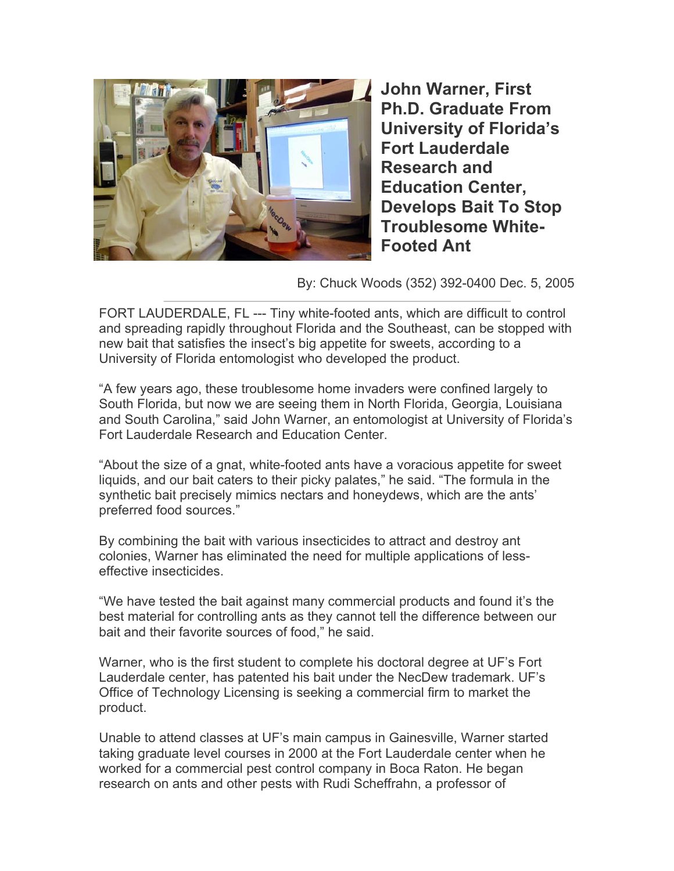

**John Warner, First Ph.D. Graduate From University of Florida's Fort Lauderdale Research and Education Center, Develops Bait To Stop Troublesome White-Footed Ant** 

By: Chuck Woods (352) 392-0400 Dec. 5, 2005

FORT LAUDERDALE, FL --- Tiny white-footed ants, which are difficult to control and spreading rapidly throughout Florida and the Southeast, can be stopped with new bait that satisfies the insect's big appetite for sweets, according to a University of Florida entomologist who developed the product.

"A few years ago, these troublesome home invaders were confined largely to South Florida, but now we are seeing them in North Florida, Georgia, Louisiana and South Carolina," said John Warner, an entomologist at University of Florida's Fort Lauderdale Research and Education Center.

"About the size of a gnat, white-footed ants have a voracious appetite for sweet liquids, and our bait caters to their picky palates," he said. "The formula in the synthetic bait precisely mimics nectars and honeydews, which are the ants' preferred food sources."

By combining the bait with various insecticides to attract and destroy ant colonies, Warner has eliminated the need for multiple applications of lesseffective insecticides.

"We have tested the bait against many commercial products and found it's the best material for controlling ants as they cannot tell the difference between our bait and their favorite sources of food," he said.

Warner, who is the first student to complete his doctoral degree at UF's Fort Lauderdale center, has patented his bait under the NecDew trademark. UF's Office of Technology Licensing is seeking a commercial firm to market the product.

Unable to attend classes at UF's main campus in Gainesville, Warner started taking graduate level courses in 2000 at the Fort Lauderdale center when he worked for a commercial pest control company in Boca Raton. He began research on ants and other pests with Rudi Scheffrahn, a professor of